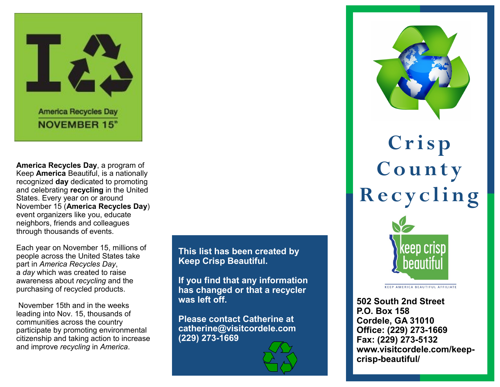

**America Recycles Day**, a program of Keep **America** Beautiful, is a nationally recognized **day** dedicated to promoting and celebrating **recycling** in the United States. Every year on or around November 15 (**America Recycles Day**) event organizers like you, educate neighbors, friends and colleagues through thousands of events.

Each year on November 15, millions of people across the United States take part in *America Recycles Day*, a *day* which was created to raise awareness about *recycling* and the purchasing of recycled products.

November 15th and in the weeks leading into Nov. 15, thousands of communities across the country participate by promoting environmental citizenship and taking action to increase and improve *recycling* in *America*.

**This list has been created by Keep Crisp Beautiful.** 

**If you find that any information has changed or that a recycler was left off.** 

**Please contact Catherine at catherine@visitcordele.com (229) 273-1669**



**C r i s p C o u n t y R e c y c l i n g**



**KEEP AMERICA BEAUTIFUL AFFILIATE** 

**502 South 2nd Street P.O. Box 158 Cordele, GA 31010 Office: (229) 273-1669 Fax: (229) 273-5132 www[.visitcordele.com/keep](https://visitcordele.com/keep-crisp-beautiful/)crisp-[beautiful/](https://visitcordele.com/keep-crisp-beautiful/)**